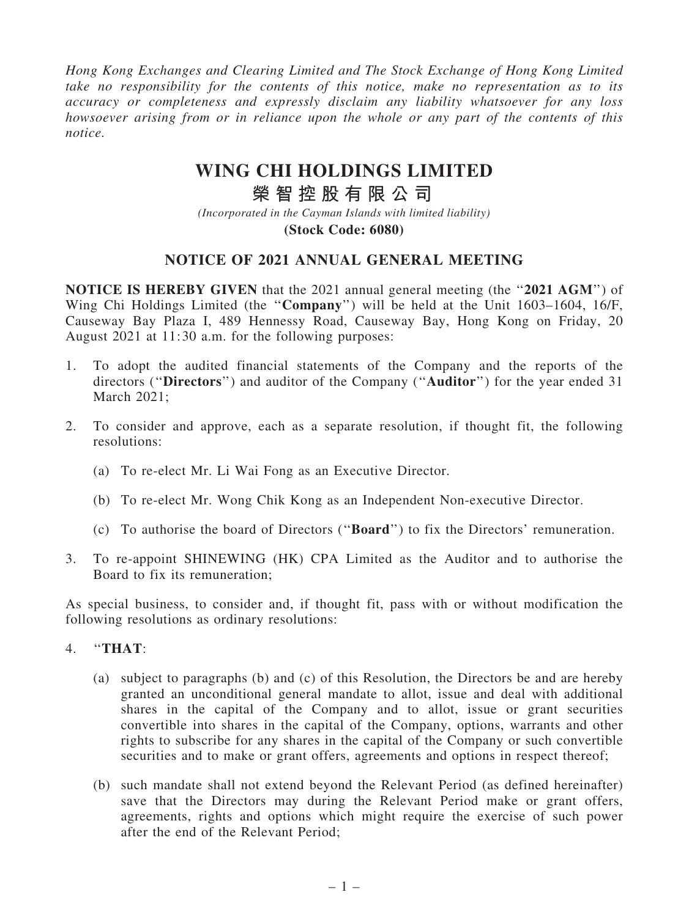*Hong Kong Exchanges and Clearing Limited and The Stock Exchange of Hong Kong Limited take no responsibility for the contents of this notice, make no representation as to its accuracy or completeness and expressly disclaim any liability whatsoever for any loss howsoever arising from or in reliance upon the whole or any part of the contents of this notice.*

# **WING CHI HOLDINGS LIMITED**

# **榮 智 控 股 有 限 公 司**

*(Incorporated in the Cayman Islands with limited liability)* **(Stock Code: 6080)**

# NOTICE OF 2021 ANNUAL GENERAL MEETING

**NOTICE IS HEREBY GIVEN** that the 2021 annual general meeting (the "2021 AGM") of Wing Chi Holdings Limited (the ''Company'') will be held at the Unit 1603–1604, 16/F, Causeway Bay Plaza I, 489 Hennessy Road, Causeway Bay, Hong Kong on Friday, 20 August 2021 at 11:30 a.m. for the following purposes:

- 1. To adopt the audited financial statements of the Company and the reports of the directors ("Directors") and auditor of the Company ("Auditor") for the year ended 31 March 2021;
- 2. To consider and approve, each as a separate resolution, if thought fit, the following resolutions:
	- (a) To re-elect Mr. Li Wai Fong as an Executive Director.
	- (b) To re-elect Mr. Wong Chik Kong as an Independent Non-executive Director.
	- (c) To authorise the board of Directors (''Board'') to fix the Directors' remuneration.
- 3. To re-appoint SHINEWING (HK) CPA Limited as the Auditor and to authorise the Board to fix its remuneration;

As special business, to consider and, if thought fit, pass with or without modification the following resolutions as ordinary resolutions:

- 4. ''THAT:
	- (a) subject to paragraphs (b) and (c) of this Resolution, the Directors be and are hereby granted an unconditional general mandate to allot, issue and deal with additional shares in the capital of the Company and to allot, issue or grant securities convertible into shares in the capital of the Company, options, warrants and other rights to subscribe for any shares in the capital of the Company or such convertible securities and to make or grant offers, agreements and options in respect thereof;
	- (b) such mandate shall not extend beyond the Relevant Period (as defined hereinafter) save that the Directors may during the Relevant Period make or grant offers, agreements, rights and options which might require the exercise of such power after the end of the Relevant Period;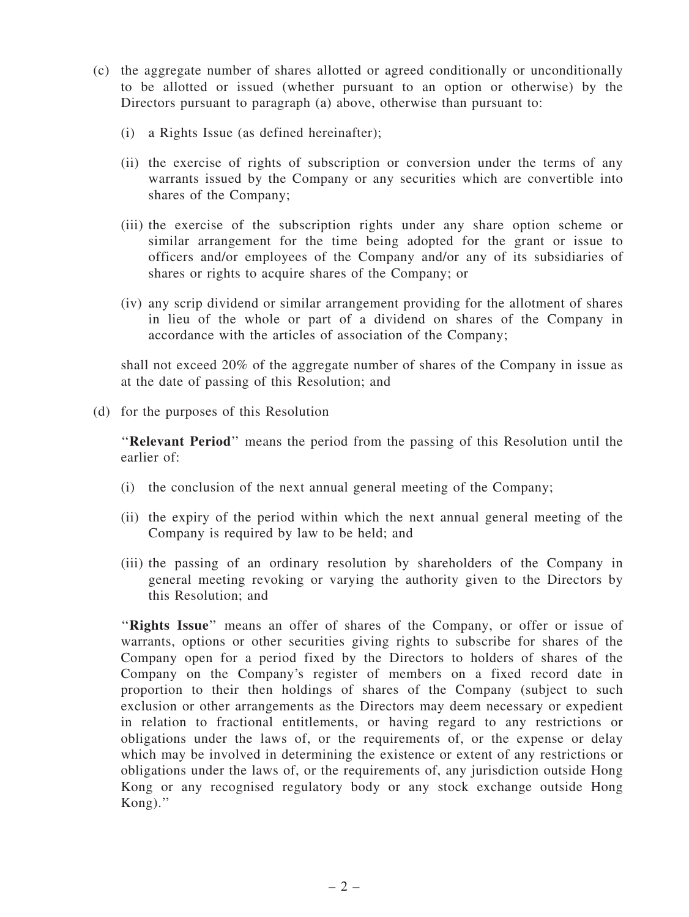- (c) the aggregate number of shares allotted or agreed conditionally or unconditionally to be allotted or issued (whether pursuant to an option or otherwise) by the Directors pursuant to paragraph (a) above, otherwise than pursuant to:
	- (i) a Rights Issue (as defined hereinafter);
	- (ii) the exercise of rights of subscription or conversion under the terms of any warrants issued by the Company or any securities which are convertible into shares of the Company;
	- (iii) the exercise of the subscription rights under any share option scheme or similar arrangement for the time being adopted for the grant or issue to officers and/or employees of the Company and/or any of its subsidiaries of shares or rights to acquire shares of the Company; or
	- (iv) any scrip dividend or similar arrangement providing for the allotment of shares in lieu of the whole or part of a dividend on shares of the Company in accordance with the articles of association of the Company;

shall not exceed 20% of the aggregate number of shares of the Company in issue as at the date of passing of this Resolution; and

(d) for the purposes of this Resolution

''Relevant Period'' means the period from the passing of this Resolution until the earlier of:

- (i) the conclusion of the next annual general meeting of the Company;
- (ii) the expiry of the period within which the next annual general meeting of the Company is required by law to be held; and
- (iii) the passing of an ordinary resolution by shareholders of the Company in general meeting revoking or varying the authority given to the Directors by this Resolution; and

"Rights Issue" means an offer of shares of the Company, or offer or issue of warrants, options or other securities giving rights to subscribe for shares of the Company open for a period fixed by the Directors to holders of shares of the Company on the Company's register of members on a fixed record date in proportion to their then holdings of shares of the Company (subject to such exclusion or other arrangements as the Directors may deem necessary or expedient in relation to fractional entitlements, or having regard to any restrictions or obligations under the laws of, or the requirements of, or the expense or delay which may be involved in determining the existence or extent of any restrictions or obligations under the laws of, or the requirements of, any jurisdiction outside Hong Kong or any recognised regulatory body or any stock exchange outside Hong Kong).''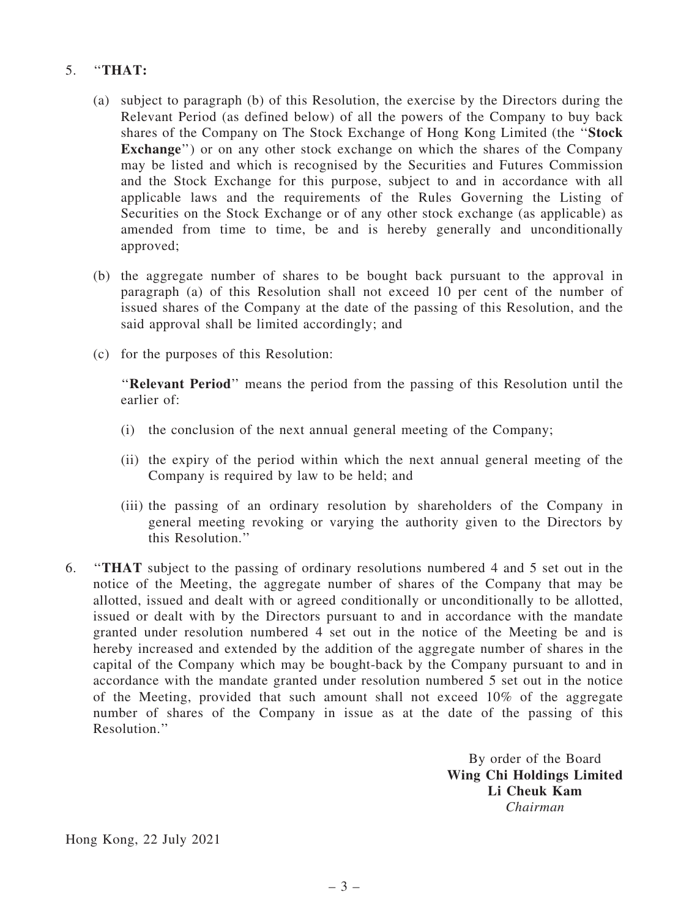# 5. ''THAT:

- (a) subject to paragraph (b) of this Resolution, the exercise by the Directors during the Relevant Period (as defined below) of all the powers of the Company to buy back shares of the Company on The Stock Exchange of Hong Kong Limited (the ''Stock Exchange") or on any other stock exchange on which the shares of the Company may be listed and which is recognised by the Securities and Futures Commission and the Stock Exchange for this purpose, subject to and in accordance with all applicable laws and the requirements of the Rules Governing the Listing of Securities on the Stock Exchange or of any other stock exchange (as applicable) as amended from time to time, be and is hereby generally and unconditionally approved;
- (b) the aggregate number of shares to be bought back pursuant to the approval in paragraph (a) of this Resolution shall not exceed 10 per cent of the number of issued shares of the Company at the date of the passing of this Resolution, and the said approval shall be limited accordingly; and
- (c) for the purposes of this Resolution:

''Relevant Period'' means the period from the passing of this Resolution until the earlier of:

- (i) the conclusion of the next annual general meeting of the Company;
- (ii) the expiry of the period within which the next annual general meeting of the Company is required by law to be held; and
- (iii) the passing of an ordinary resolution by shareholders of the Company in general meeting revoking or varying the authority given to the Directors by this Resolution.''
- 6. ''THAT subject to the passing of ordinary resolutions numbered 4 and 5 set out in the notice of the Meeting, the aggregate number of shares of the Company that may be allotted, issued and dealt with or agreed conditionally or unconditionally to be allotted, issued or dealt with by the Directors pursuant to and in accordance with the mandate granted under resolution numbered 4 set out in the notice of the Meeting be and is hereby increased and extended by the addition of the aggregate number of shares in the capital of the Company which may be bought-back by the Company pursuant to and in accordance with the mandate granted under resolution numbered 5 set out in the notice of the Meeting, provided that such amount shall not exceed 10% of the aggregate number of shares of the Company in issue as at the date of the passing of this Resolution.''

By order of the Board Wing Chi Holdings Limited Li Cheuk Kam *Chairman*

Hong Kong, 22 July 2021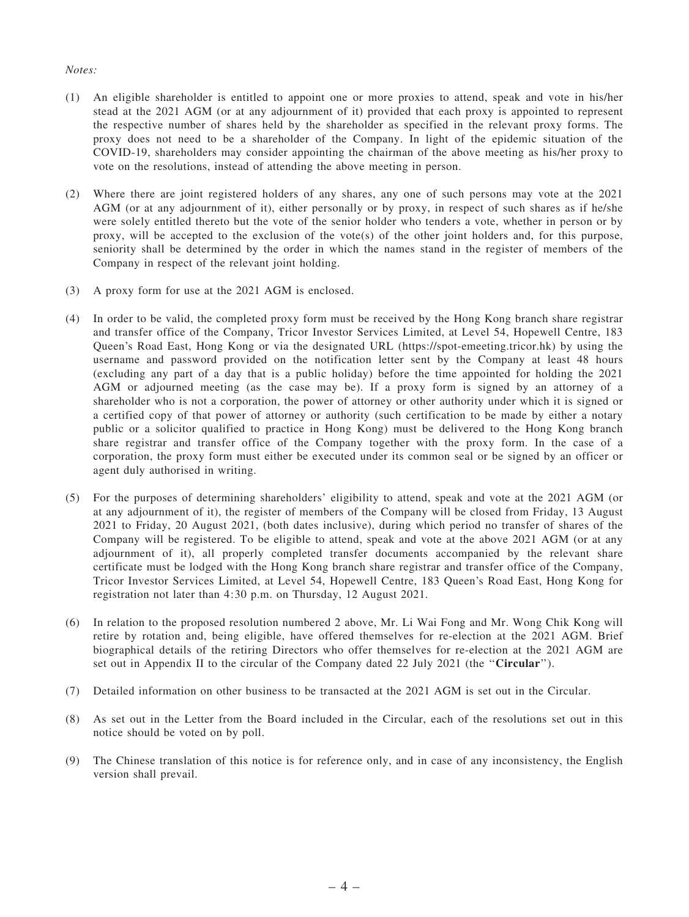#### *Notes:*

- (1) An eligible shareholder is entitled to appoint one or more proxies to attend, speak and vote in his/her stead at the 2021 AGM (or at any adjournment of it) provided that each proxy is appointed to represent the respective number of shares held by the shareholder as specified in the relevant proxy forms. The proxy does not need to be a shareholder of the Company. In light of the epidemic situation of the COVID-19, shareholders may consider appointing the chairman of the above meeting as his/her proxy to vote on the resolutions, instead of attending the above meeting in person.
- (2) Where there are joint registered holders of any shares, any one of such persons may vote at the 2021 AGM (or at any adjournment of it), either personally or by proxy, in respect of such shares as if he/she were solely entitled thereto but the vote of the senior holder who tenders a vote, whether in person or by proxy, will be accepted to the exclusion of the vote(s) of the other joint holders and, for this purpose, seniority shall be determined by the order in which the names stand in the register of members of the Company in respect of the relevant joint holding.
- (3) A proxy form for use at the 2021 AGM is enclosed.
- (4) In order to be valid, the completed proxy form must be received by the Hong Kong branch share registrar and transfer office of the Company, Tricor Investor Services Limited, at Level 54, Hopewell Centre, 183 Queen's Road East, Hong Kong or via the designated URL (https://spot-emeeting.tricor.hk) by using the username and password provided on the notification letter sent by the Company at least 48 hours (excluding any part of a day that is a public holiday) before the time appointed for holding the 2021 AGM or adjourned meeting (as the case may be). If a proxy form is signed by an attorney of a shareholder who is not a corporation, the power of attorney or other authority under which it is signed or a certified copy of that power of attorney or authority (such certification to be made by either a notary public or a solicitor qualified to practice in Hong Kong) must be delivered to the Hong Kong branch share registrar and transfer office of the Company together with the proxy form. In the case of a corporation, the proxy form must either be executed under its common seal or be signed by an officer or agent duly authorised in writing.
- (5) For the purposes of determining shareholders' eligibility to attend, speak and vote at the 2021 AGM (or at any adjournment of it), the register of members of the Company will be closed from Friday, 13 August 2021 to Friday, 20 August 2021, (both dates inclusive), during which period no transfer of shares of the Company will be registered. To be eligible to attend, speak and vote at the above 2021 AGM (or at any adjournment of it), all properly completed transfer documents accompanied by the relevant share certificate must be lodged with the Hong Kong branch share registrar and transfer office of the Company, Tricor Investor Services Limited, at Level 54, Hopewell Centre, 183 Queen's Road East, Hong Kong for registration not later than 4:30 p.m. on Thursday, 12 August 2021.
- (6) In relation to the proposed resolution numbered 2 above, Mr. Li Wai Fong and Mr. Wong Chik Kong will retire by rotation and, being eligible, have offered themselves for re-election at the 2021 AGM. Brief biographical details of the retiring Directors who offer themselves for re-election at the 2021 AGM are set out in Appendix II to the circular of the Company dated 22 July 2021 (the "Circular").
- (7) Detailed information on other business to be transacted at the 2021 AGM is set out in the Circular.
- (8) As set out in the Letter from the Board included in the Circular, each of the resolutions set out in this notice should be voted on by poll.
- (9) The Chinese translation of this notice is for reference only, and in case of any inconsistency, the English version shall prevail.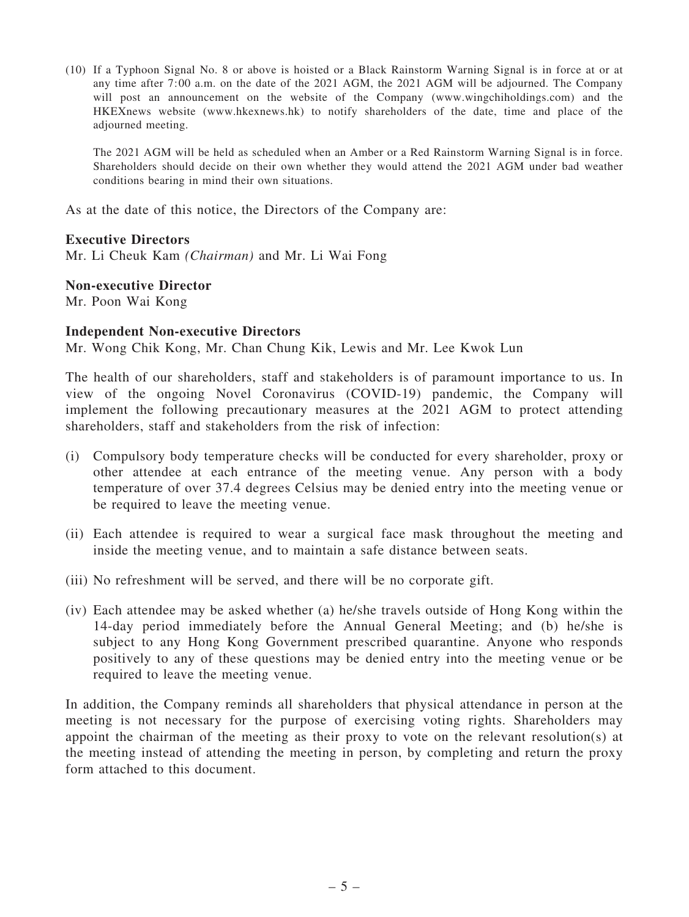(10) If a Typhoon Signal No. 8 or above is hoisted or a Black Rainstorm Warning Signal is in force at or at any time after 7:00 a.m. on the date of the 2021 AGM, the 2021 AGM will be adjourned. The Company will post an announcement on the website of the Company (www.wingchiholdings.com) and the HKEXnews website (www.hkexnews.hk) to notify shareholders of the date, time and place of the adjourned meeting.

The 2021 AGM will be held as scheduled when an Amber or a Red Rainstorm Warning Signal is in force. Shareholders should decide on their own whether they would attend the 2021 AGM under bad weather conditions bearing in mind their own situations.

As at the date of this notice, the Directors of the Company are:

## Executive Directors

Mr. Li Cheuk Kam *(Chairman)* and Mr. Li Wai Fong

## Non-executive Director

Mr. Poon Wai Kong

## Independent Non-executive Directors

Mr. Wong Chik Kong, Mr. Chan Chung Kik, Lewis and Mr. Lee Kwok Lun

The health of our shareholders, staff and stakeholders is of paramount importance to us. In view of the ongoing Novel Coronavirus (COVID-19) pandemic, the Company will implement the following precautionary measures at the 2021 AGM to protect attending shareholders, staff and stakeholders from the risk of infection:

- (i) Compulsory body temperature checks will be conducted for every shareholder, proxy or other attendee at each entrance of the meeting venue. Any person with a body temperature of over 37.4 degrees Celsius may be denied entry into the meeting venue or be required to leave the meeting venue.
- (ii) Each attendee is required to wear a surgical face mask throughout the meeting and inside the meeting venue, and to maintain a safe distance between seats.
- (iii) No refreshment will be served, and there will be no corporate gift.
- (iv) Each attendee may be asked whether (a) he/she travels outside of Hong Kong within the 14-day period immediately before the Annual General Meeting; and (b) he/she is subject to any Hong Kong Government prescribed quarantine. Anyone who responds positively to any of these questions may be denied entry into the meeting venue or be required to leave the meeting venue.

In addition, the Company reminds all shareholders that physical attendance in person at the meeting is not necessary for the purpose of exercising voting rights. Shareholders may appoint the chairman of the meeting as their proxy to vote on the relevant resolution(s) at the meeting instead of attending the meeting in person, by completing and return the proxy form attached to this document.